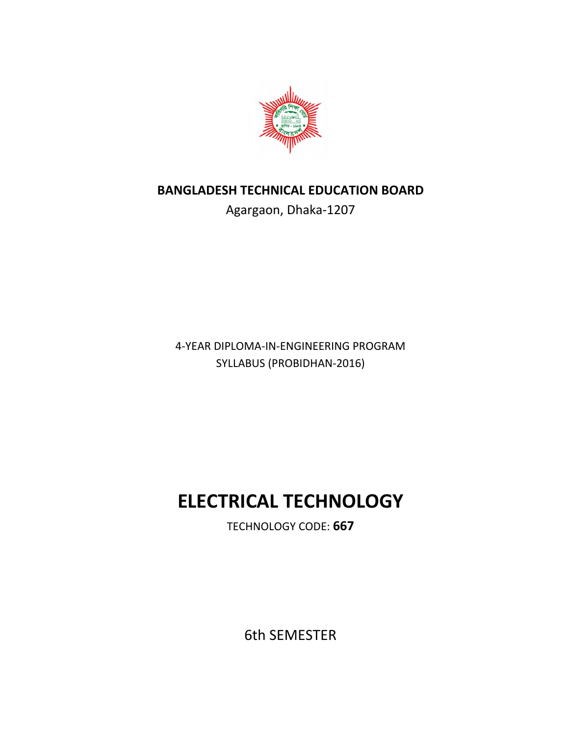

# **BANGLADESH TECHNICAL EDUCATION BOARD**

Agargaon, Dhaka‐1207

4‐YEAR DIPLOMA‐IN‐ENGINEERING PROGRAM SYLLABUS (PROBIDHAN‐2016)

# **ELECTRICAL TECHNOLOGY**

TECHNOLOGY CODE: **667** 

6th SEMESTER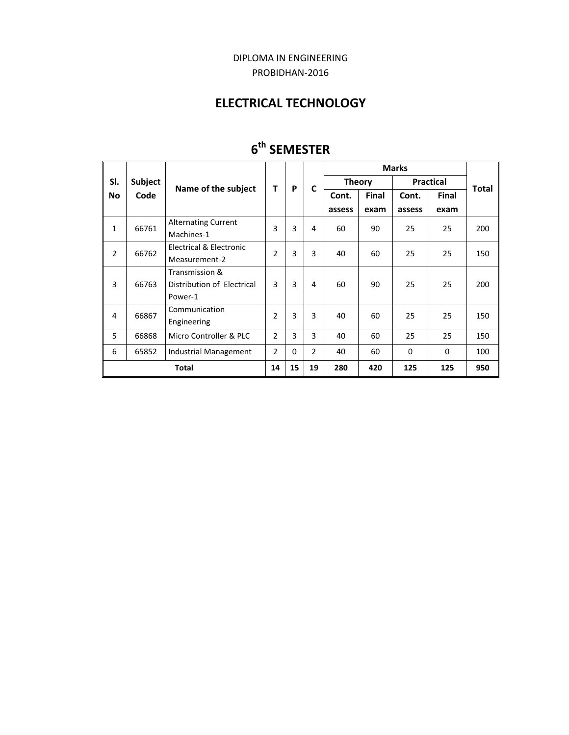### DIPLOMA IN ENGINEERING PROBIDHAN‐2016

# **ELECTRICAL TECHNOLOGY**

|                  | <b>Subject</b><br>Code | Name of the subject        | T              | P        | C              | <b>Marks</b>  |       |                  |              |              |
|------------------|------------------------|----------------------------|----------------|----------|----------------|---------------|-------|------------------|--------------|--------------|
| SI.<br><b>No</b> |                        |                            |                |          |                | <b>Theory</b> |       | <b>Practical</b> |              | <b>Total</b> |
|                  |                        |                            |                |          |                | Cont.         | Final | Cont.            | <b>Final</b> |              |
|                  |                        |                            |                |          |                | assess        | exam  | assess           | exam         |              |
| $\mathbf{1}$     | 66761                  | <b>Alternating Current</b> | 3              | 3        | 4              | 60            | 90    | 25               | 25           | 200          |
|                  |                        | Machines-1                 |                |          |                |               |       |                  |              |              |
| $\overline{2}$   | 66762                  | Electrical & Electronic    | $\overline{2}$ | 3        | 3              | 40            | 60    | 25               | 25           | 150          |
|                  |                        | Measurement-2              |                |          |                |               |       |                  |              |              |
| 3                | 66763                  | Transmission &             | 3<br>3         |          |                | 60            | 90    | 25               | 25           | 200          |
|                  |                        | Distribution of Electrical |                |          | 4              |               |       |                  |              |              |
|                  |                        | Power-1                    |                |          |                |               |       |                  |              |              |
| 4                | 66867                  | Communication              | $\mathfrak{p}$ | 3        | 3              | 40            | 60    | 25               | 25           | 150          |
|                  |                        | Engineering                |                |          |                |               |       |                  |              |              |
| 5                | 66868                  | Micro Controller & PLC     | $\overline{2}$ | 3        | 3              | 40            | 60    | 25               | 25           | 150          |
| 6                | 65852                  | Industrial Management      | $\overline{2}$ | $\Omega$ | $\overline{2}$ | 40            | 60    | 0                | $\Omega$     | 100          |
| <b>Total</b>     |                        |                            |                | 15       | 19             | 280           | 420   | 125              | 125          | 950          |

# **6th SEMESTER**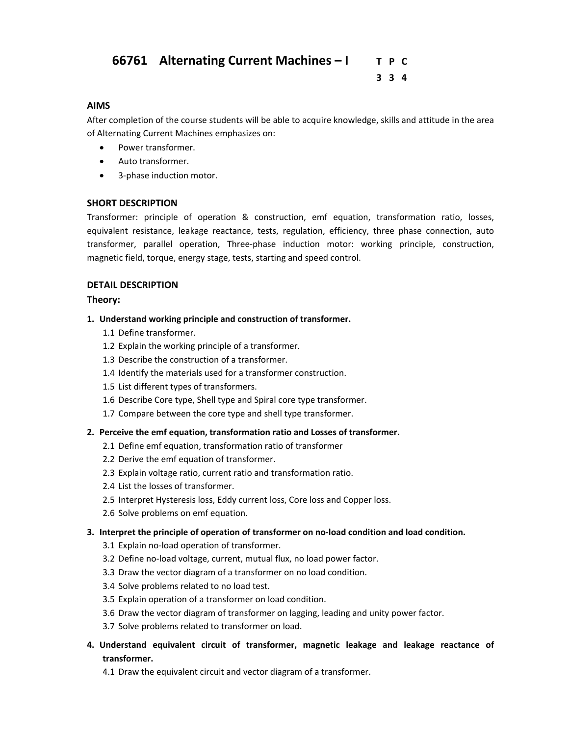### **66761 Alternating Current Machines – I T P C**

 **3 3 4**

#### **AIMS**

After completion of the course students will be able to acquire knowledge, skills and attitude in the area of Alternating Current Machines emphasizes on:

- Power transformer.
- Auto transformer.
- 3-phase induction motor.

#### **SHORT DESCRIPTION**

Transformer: principle of operation & construction, emf equation, transformation ratio, losses, equivalent resistance, leakage reactance, tests, regulation, efficiency, three phase connection, auto transformer, parallel operation, Three‐phase induction motor: working principle, construction, magnetic field, torque, energy stage, tests, starting and speed control.

#### **DETAIL DESCRIPTION**

#### **Theory:**

- **1. Understand working principle and construction of transformer.** 
	- 1.1 Define transformer.
	- 1.2 Explain the working principle of a transformer.
	- 1.3 Describe the construction of a transformer.
	- 1.4 Identify the materials used for a transformer construction.
	- 1.5 List different types of transformers.
	- 1.6 Describe Core type, Shell type and Spiral core type transformer.
	- 1.7 Compare between the core type and shell type transformer.

#### **2. Perceive the emf equation, transformation ratio and Losses of transformer.**

- 2.1 Define emf equation, transformation ratio of transformer
- 2.2 Derive the emf equation of transformer.
- 2.3 Explain voltage ratio, current ratio and transformation ratio.
- 2.4 List the losses of transformer.
- 2.5 Interpret Hysteresis loss, Eddy current loss, Core loss and Copper loss.
- 2.6 Solve problems on emf equation.

#### **3. Interpret the principle of operation of transformer on no‐load condition and load condition.**

- 3.1 Explain no‐load operation of transformer.
- 3.2 Define no‐load voltage, current, mutual flux, no load power factor.
- 3.3 Draw the vector diagram of a transformer on no load condition.
- 3.4 Solve problems related to no load test.
- 3.5 Explain operation of a transformer on load condition.
- 3.6 Draw the vector diagram of transformer on lagging, leading and unity power factor.
- 3.7 Solve problems related to transformer on load.
- **4. Understand equivalent circuit of transformer, magnetic leakage and leakage reactance of transformer.** 
	- 4.1 Draw the equivalent circuit and vector diagram of a transformer.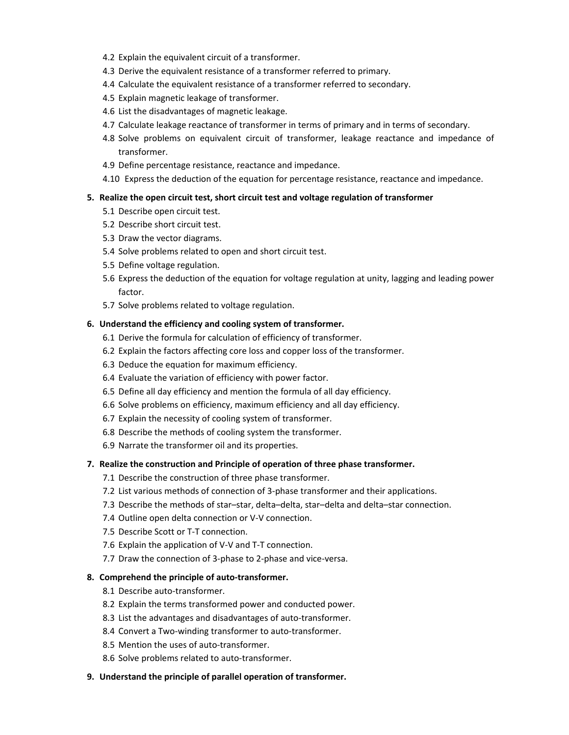- 4.2 Explain the equivalent circuit of a transformer.
- 4.3 Derive the equivalent resistance of a transformer referred to primary.
- 4.4 Calculate the equivalent resistance of a transformer referred to secondary.
- 4.5 Explain magnetic leakage of transformer.
- 4.6 List the disadvantages of magnetic leakage.
- 4.7 Calculate leakage reactance of transformer in terms of primary and in terms of secondary.
- 4.8 Solve problems on equivalent circuit of transformer, leakage reactance and impedance of transformer.
- 4.9 Define percentage resistance, reactance and impedance.
- 4.10 Express the deduction of the equation for percentage resistance, reactance and impedance.

#### **5. Realize the open circuit test, short circuit test and voltage regulation of transformer**

- 5.1 Describe open circuit test.
- 5.2 Describe short circuit test.
- 5.3 Draw the vector diagrams.
- 5.4 Solve problems related to open and short circuit test.
- 5.5 Define voltage regulation.
- 5.6 Express the deduction of the equation for voltage regulation at unity, lagging and leading power factor.
- 5.7 Solve problems related to voltage regulation.

#### **6. Understand the efficiency and cooling system of transformer.**

- 6.1 Derive the formula for calculation of efficiency of transformer.
- 6.2 Explain the factors affecting core loss and copper loss of the transformer.
- 6.3 Deduce the equation for maximum efficiency.
- 6.4 Evaluate the variation of efficiency with power factor.
- 6.5 Define all day efficiency and mention the formula of all day efficiency.
- 6.6 Solve problems on efficiency, maximum efficiency and all day efficiency.
- 6.7 Explain the necessity of cooling system of transformer.
- 6.8 Describe the methods of cooling system the transformer.
- 6.9 Narrate the transformer oil and its properties.

#### **7. Realize the construction and Principle of operation of three phase transformer.**

- 7.1 Describe the construction of three phase transformer.
- 7.2 List various methods of connection of 3‐phase transformer and their applications.
- 7.3 Describe the methods of star–star, delta–delta, star–delta and delta–star connection.
- 7.4 Outline open delta connection or V‐V connection.
- 7.5 Describe Scott or T‐T connection.
- 7.6 Explain the application of V‐V and T‐T connection.
- 7.7 Draw the connection of 3‐phase to 2‐phase and vice‐versa.

#### **8. Comprehend the principle of auto‐transformer.**

- 8.1 Describe auto-transformer.
- 8.2 Explain the terms transformed power and conducted power.
- 8.3 List the advantages and disadvantages of auto-transformer.
- 8.4 Convert a Two-winding transformer to auto-transformer.
- 8.5 Mention the uses of auto-transformer.
- 8.6 Solve problems related to auto-transformer.
- **9. Understand the principle of parallel operation of transformer.**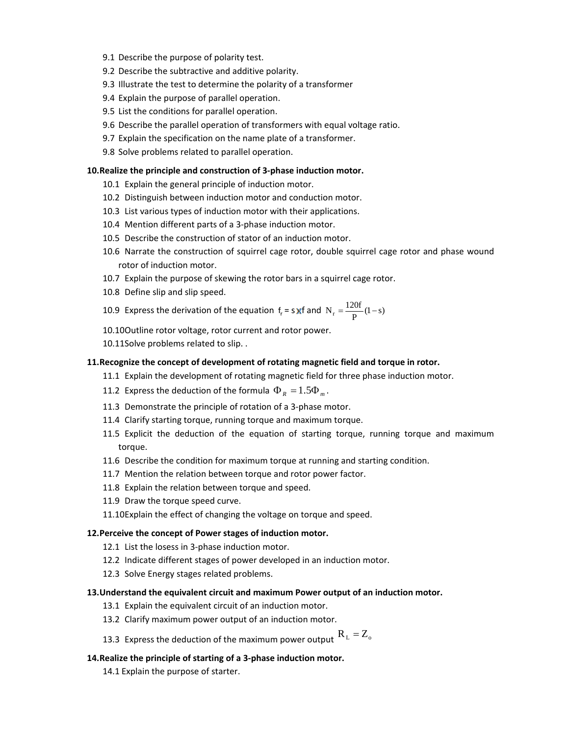- 9.1 Describe the purpose of polarity test.
- 9.2 Describe the subtractive and additive polarity.
- 9.3 Illustrate the test to determine the polarity of a transformer
- 9.4 Explain the purpose of parallel operation.
- 9.5 List the conditions for parallel operation.
- 9.6 Describe the parallel operation of transformers with equal voltage ratio.
- 9.7 Explain the specification on the name plate of a transformer.
- 9.8 Solve problems related to parallel operation.

#### **10.Realize the principle and construction of 3‐phase induction motor.**

- 10.1 Explain the general principle of induction motor.
- 10.2 Distinguish between induction motor and conduction motor.
- 10.3 List various types of induction motor with their applications.
- 10.4 Mention different parts of a 3‐phase induction motor.
- 10.5 Describe the construction of stator of an induction motor.
- 10.6 Narrate the construction of squirrel cage rotor, double squirrel cage rotor and phase wound rotor of induction motor.
- 10.7 Explain the purpose of skewing the rotor bars in a squirrel cage rotor.
- 10.8 Define slip and slip speed.

10.9 Express the derivation of the equation 
$$
f_r = s
$$
 of  $N_r = \frac{120f}{P}(1-s)$ 

- 10.10Outline rotor voltage, rotor current and rotor power.
- 10.11Solve problems related to slip. .

#### **11.Recognize the concept of development of rotating magnetic field and torque in rotor.**

- 11.1 Explain the development of rotating magnetic field for three phase induction motor.
- 11.2 Express the deduction of the formula  $\Phi_R = 1.5 \Phi_m$ .
- 11.3 Demonstrate the principle of rotation of a 3‐phase motor.
- 11.4 Clarify starting torque, running torque and maximum torque.
- 11.5 Explicit the deduction of the equation of starting torque, running torque and maximum torque.
- 11.6 Describe the condition for maximum torque at running and starting condition.
- 11.7 Mention the relation between torque and rotor power factor.
- 11.8 Explain the relation between torque and speed.
- 11.9 Draw the torque speed curve.
- 11.10Explain the effect of changing the voltage on torque and speed.

#### **12.Perceive the concept of Power stages of induction motor.**

- 12.1 List the losess in 3-phase induction motor.
- 12.2 Indicate different stages of power developed in an induction motor.
- 12.3 Solve Energy stages related problems.

#### **13.Understand the equivalent circuit and maximum Power output of an induction motor.**

- 13.1 Explain the equivalent circuit of an induction motor.
- 13.2 Clarify maximum power output of an induction motor.
- 13.3 Express the deduction of the maximum power output  $R_L = Z_o$

#### **14.Realize the principle of starting of a 3‐phase induction motor.**

14.1 Explain the purpose of starter.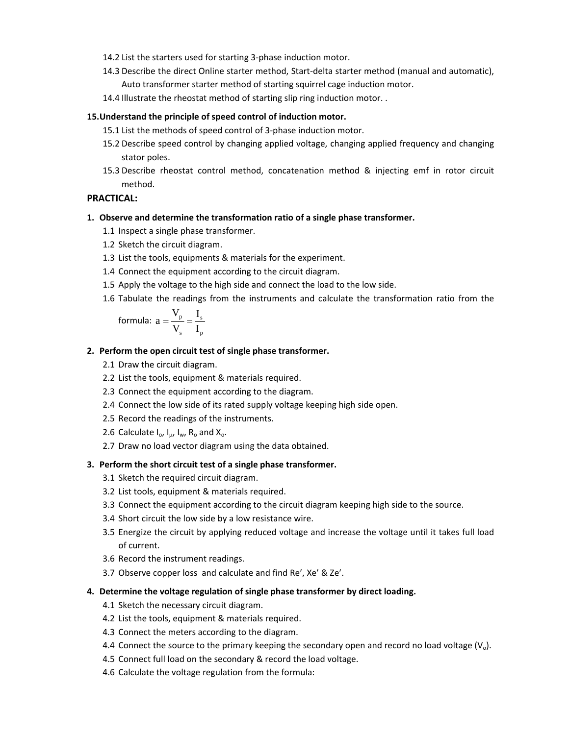- 14.2 List the starters used for starting 3‐phase induction motor.
- 14.3 Describe the direct Online starter method, Start-delta starter method (manual and automatic), Auto transformer starter method of starting squirrel cage induction motor.
- 14.4 Illustrate the rheostat method of starting slip ring induction motor. .

#### **15.Understand the principle of speed control of induction motor.**

- 15.1 List the methods of speed control of 3‐phase induction motor.
- 15.2 Describe speed control by changing applied voltage, changing applied frequency and changing stator poles.
- 15.3 Describe rheostat control method, concatenation method & injecting emf in rotor circuit method.

#### **PRACTICAL:**

#### **1. Observe and determine the transformation ratio of a single phase transformer.**

- 1.1 Inspect a single phase transformer.
- 1.2 Sketch the circuit diagram.
- 1.3 List the tools, equipments & materials for the experiment.
- 1.4 Connect the equipment according to the circuit diagram.
- 1.5 Apply the voltage to the high side and connect the load to the low side.
- 1.6 Tabulate the readings from the instruments and calculate the transformation ratio from the

formula: 
$$
a = \frac{V_p}{V_s} = \frac{I_s}{I_p}
$$

#### **2. Perform the open circuit test of single phase transformer.**

- 2.1 Draw the circuit diagram.
- 2.2 List the tools, equipment & materials required.
- 2.3 Connect the equipment according to the diagram.
- 2.4 Connect the low side of its rated supply voltage keeping high side open.
- 2.5 Record the readings of the instruments.
- 2.6 Calculate  $I_o$ ,  $I_{\mu}$ ,  $I_{\nu}$ ,  $R_o$  and  $X_o$ .
- 2.7 Draw no load vector diagram using the data obtained.

#### **3. Perform the short circuit test of a single phase transformer.**

- 3.1 Sketch the required circuit diagram.
- 3.2 List tools, equipment & materials required.
- 3.3 Connect the equipment according to the circuit diagram keeping high side to the source.
- 3.4 Short circuit the low side by a low resistance wire.
- 3.5 Energize the circuit by applying reduced voltage and increase the voltage until it takes full load of current.
- 3.6 Record the instrument readings.
- 3.7 Observe copper loss and calculate and find Re′, Xe′ & Ze′.

#### **4. Determine the voltage regulation of single phase transformer by direct loading.**

- 4.1 Sketch the necessary circuit diagram.
- 4.2 List the tools, equipment & materials required.
- 4.3 Connect the meters according to the diagram.
- 4.4 Connect the source to the primary keeping the secondary open and record no load voltage  $(V<sub>o</sub>)$ .
- 4.5 Connect full load on the secondary & record the load voltage.
- 4.6 Calculate the voltage regulation from the formula: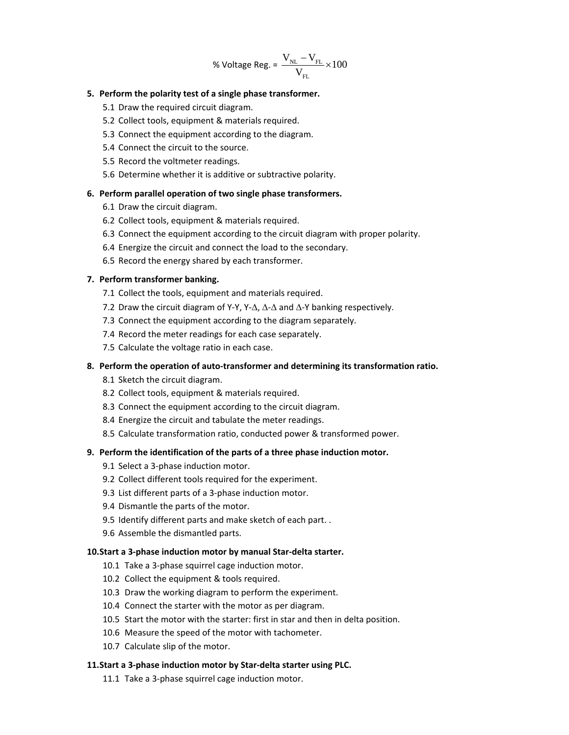$$
\text{\% Voltage Reg.} = \frac{V_{\text{NL}} - V_{\text{FL}}}{V_{\text{FL}}} \times 100
$$

#### **5. Perform the polarity test of a single phase transformer.**

- 5.1 Draw the required circuit diagram.
- 5.2 Collect tools, equipment & materials required.
- 5.3 Connect the equipment according to the diagram.
- 5.4 Connect the circuit to the source.
- 5.5 Record the voltmeter readings.
- 5.6 Determine whether it is additive or subtractive polarity.

#### **6. Perform parallel operation of two single phase transformers.**

- 6.1 Draw the circuit diagram.
- 6.2 Collect tools, equipment & materials required.
- 6.3 Connect the equipment according to the circuit diagram with proper polarity.
- 6.4 Energize the circuit and connect the load to the secondary.
- 6.5 Record the energy shared by each transformer.

#### **7. Perform transformer banking.**

- 7.1 Collect the tools, equipment and materials required.
- 7.2 Draw the circuit diagram of Y‐Y, Y‐∆, ∆‐∆ and ∆‐Y banking respectively.
- 7.3 Connect the equipment according to the diagram separately.
- 7.4 Record the meter readings for each case separately.
- 7.5 Calculate the voltage ratio in each case.

#### **8. Perform the operation of auto‐transformer and determining its transformation ratio.**

- 8.1 Sketch the circuit diagram.
- 8.2 Collect tools, equipment & materials required.
- 8.3 Connect the equipment according to the circuit diagram.
- 8.4 Energize the circuit and tabulate the meter readings.
- 8.5 Calculate transformation ratio, conducted power & transformed power.

#### **9. Perform the identification of the parts of a three phase induction motor.**

- 9.1 Select a 3‐phase induction motor.
- 9.2 Collect different tools required for the experiment.
- 9.3 List different parts of a 3‐phase induction motor.
- 9.4 Dismantle the parts of the motor.
- 9.5 Identify different parts and make sketch of each part. .
- 9.6 Assemble the dismantled parts.

#### **10.Start a 3‐phase induction motor by manual Star‐delta starter.**

- 10.1 Take a 3-phase squirrel cage induction motor.
- 10.2 Collect the equipment & tools required.
- 10.3 Draw the working diagram to perform the experiment.
- 10.4 Connect the starter with the motor as per diagram.
- 10.5 Start the motor with the starter: first in star and then in delta position.
- 10.6 Measure the speed of the motor with tachometer.
- 10.7 Calculate slip of the motor.

#### **11.Start a 3‐phase induction motor by Star‐delta starter using PLC.**

11.1 Take a 3-phase squirrel cage induction motor.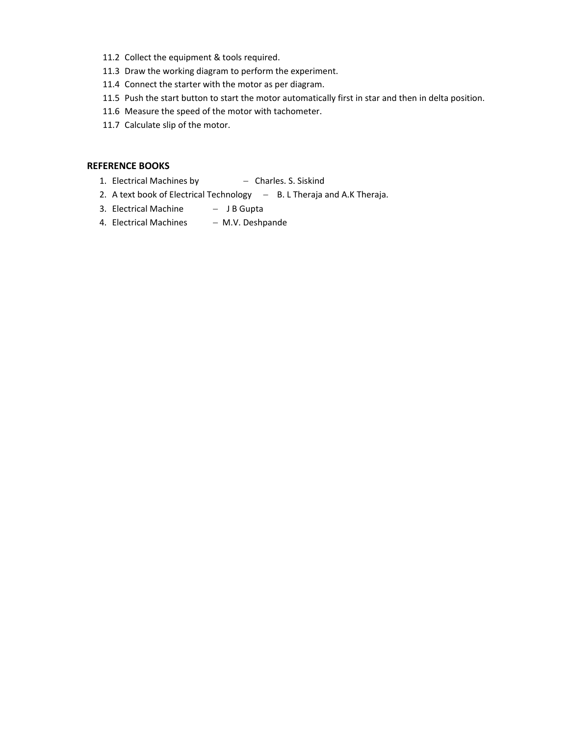- 11.2 Collect the equipment & tools required.
- 11.3 Draw the working diagram to perform the experiment.
- 11.4 Connect the starter with the motor as per diagram.
- 11.5 Push the start button to start the motor automatically first in star and then in delta position.
- 11.6 Measure the speed of the motor with tachometer.
- 11.7 Calculate slip of the motor.

#### **REFERENCE BOOKS**

- 1. Electrical Machines by  $-$  Charles. S. Siskind
- 2. A text book of Electrical Technology B. L Theraja and A.K Theraja.
- 3. Electrical Machine − J B Gupta
- 4. Electrical Machines M.V. Deshpande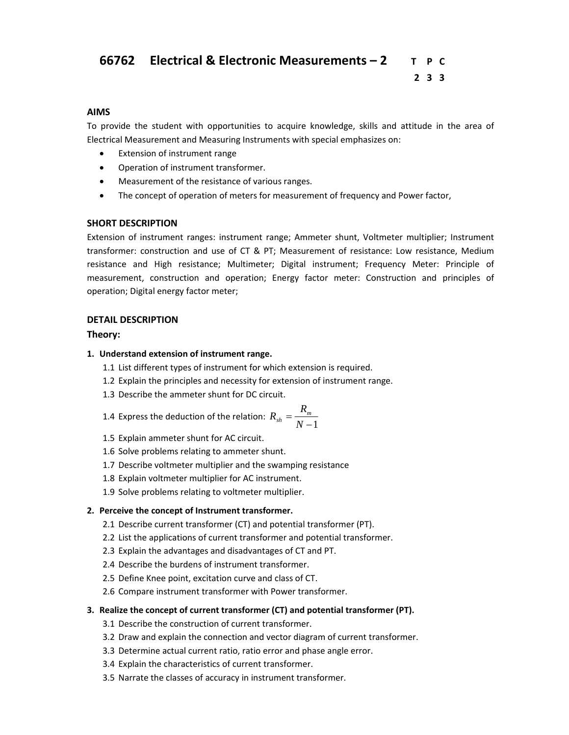## **66762 Electrical & Electronic Measurements – 2 T P C**

# **2 3 3**

#### **AIMS**

To provide the student with opportunities to acquire knowledge, skills and attitude in the area of Electrical Measurement and Measuring Instruments with special emphasizes on:

- Extension of instrument range
- Operation of instrument transformer.
- Measurement of the resistance of various ranges.
- The concept of operation of meters for measurement of frequency and Power factor,

#### **SHORT DESCRIPTION**

Extension of instrument ranges: instrument range; Ammeter shunt, Voltmeter multiplier; Instrument transformer: construction and use of CT & PT; Measurement of resistance: Low resistance, Medium resistance and High resistance; Multimeter; Digital instrument; Frequency Meter: Principle of measurement, construction and operation; Energy factor meter: Construction and principles of operation; Digital energy factor meter;

#### **DETAIL DESCRIPTION**

#### **Theory:**

#### **1. Understand extension of instrument range.**

- 1.1 List different types of instrument for which extension is required.
- 1.2 Explain the principles and necessity for extension of instrument range.
- 1.3 Describe the ammeter shunt for DC circuit.

1.4 Express the deduction of the relation: 
$$
R_{sh} = \frac{R_m}{N-1}
$$

- 1.5 Explain ammeter shunt for AC circuit.
- 1.6 Solve problems relating to ammeter shunt.
- 1.7 Describe voltmeter multiplier and the swamping resistance
- 1.8 Explain voltmeter multiplier for AC instrument.
- 1.9 Solve problems relating to voltmeter multiplier.

#### **2. Perceive the concept of Instrument transformer.**

- 2.1 Describe current transformer (CT) and potential transformer (PT).
- 2.2 List the applications of current transformer and potential transformer.
- 2.3 Explain the advantages and disadvantages of CT and PT.
- 2.4 Describe the burdens of instrument transformer.
- 2.5 Define Knee point, excitation curve and class of CT.
- 2.6 Compare instrument transformer with Power transformer.

#### **3. Realize the concept of current transformer (CT) and potential transformer (PT).**

- 3.1 Describe the construction of current transformer.
- 3.2 Draw and explain the connection and vector diagram of current transformer.
- 3.3 Determine actual current ratio, ratio error and phase angle error.
- 3.4 Explain the characteristics of current transformer.
- 3.5 Narrate the classes of accuracy in instrument transformer.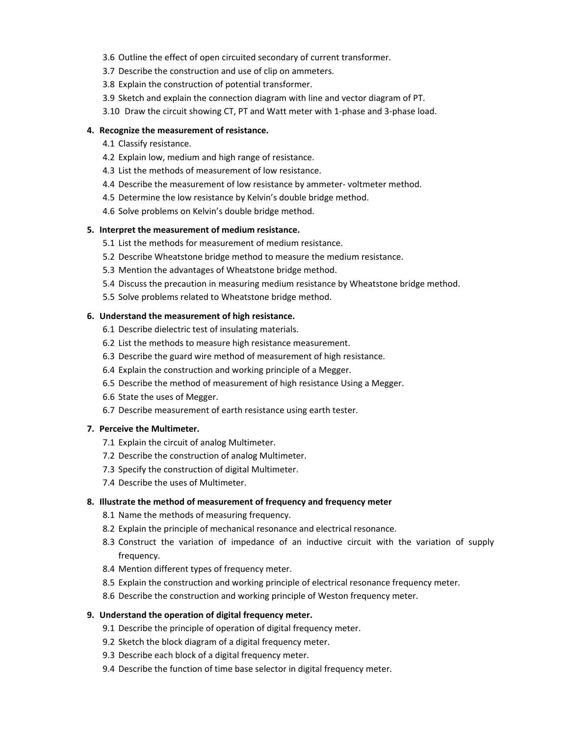- 3.6 Outline the effect of open circuited secondary of current transformer.
- 3.7 Describe the construction and use of clip on ammeters.
- 3.8 Explain the construction of potential transformer.
- 3.9 Sketch and explain the connection diagram with line and vector diagram of PT.
- 3.10 Draw the circuit showing CT, PT and Watt meter with 1‐phase and 3‐phase load.

#### **4. Recognize the measurement of resistance.**

- 4.1 Classify resistance.
- 4.2 Explain low, medium and high range of resistance.
- 4.3 List the methods of measurement of low resistance.
- 4.4 Describe the measurement of low resistance by ammeter-voltmeter method.
- 4.5 Determine the low resistance by Kelvin's double bridge method.
- 4.6 Solve problems on Kelvin's double bridge method.

#### **5. Interpret the measurement of medium resistance.**

- 5.1 List the methods for measurement of medium resistance.
- 5.2 Describe Wheatstone bridge method to measure the medium resistance.
- 5.3 Mention the advantages of Wheatstone bridge method.
- 5.4 Discuss the precaution in measuring medium resistance by Wheatstone bridge method.
- 5.5 Solve problems related to Wheatstone bridge method.

#### **6. Understand the measurement of high resistance.**

- 6.1 Describe dielectric test of insulating materials.
- 6.2 List the methods to measure high resistance measurement.
- 6.3 Describe the guard wire method of measurement of high resistance.
- 6.4 Explain the construction and working principle of a Megger.
- 6.5 Describe the method of measurement of high resistance Using a Megger.
- 6.6 State the uses of Megger.
- 6.7 Describe measurement of earth resistance using earth tester.

#### **7. Perceive the Multimeter.**

- 7.1 Explain the circuit of analog Multimeter.
- 7.2 Describe the construction of analog Multimeter.
- 7.3 Specify the construction of digital Multimeter.
- 7.4 Describe the uses of Multimeter.

#### **8. Illustrate the method of measurement of frequency and frequency meter**

- 8.1 Name the methods of measuring frequency.
- 8.2 Explain the principle of mechanical resonance and electrical resonance.
- 8.3 Construct the variation of impedance of an inductive circuit with the variation of supply frequency.
- 8.4 Mention different types of frequency meter.
- 8.5 Explain the construction and working principle of electrical resonance frequency meter.
- 8.6 Describe the construction and working principle of Weston frequency meter.

#### **9. Understand the operation of digital frequency meter.**

- 9.1 Describe the principle of operation of digital frequency meter.
- 9.2 Sketch the block diagram of a digital frequency meter.
- 9.3 Describe each block of a digital frequency meter.
- 9.4 Describe the function of time base selector in digital frequency meter.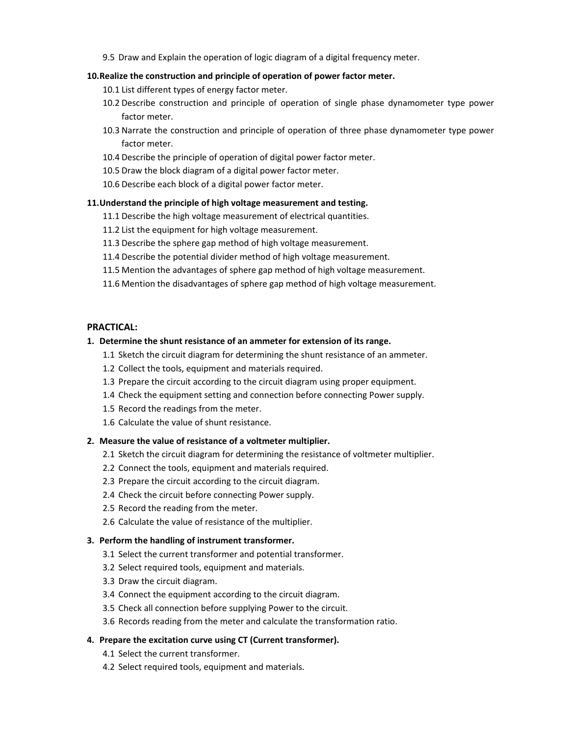9.5 Draw and Explain the operation of logic diagram of a digital frequency meter.

#### **10.Realize the construction and principle of operation of power factor meter.**

- 10.1 List different types of energy factor meter.
- 10.2 Describe construction and principle of operation of single phase dynamometer type power factor meter.
- 10.3 Narrate the construction and principle of operation of three phase dynamometer type power factor meter.
- 10.4 Describe the principle of operation of digital power factor meter.
- 10.5 Draw the block diagram of a digital power factor meter.
- 10.6 Describe each block of a digital power factor meter.

#### **11.Understand the principle of high voltage measurement and testing.**

- 11.1 Describe the high voltage measurement of electrical quantities.
- 11.2 List the equipment for high voltage measurement.
- 11.3 Describe the sphere gap method of high voltage measurement.
- 11.4 Describe the potential divider method of high voltage measurement.
- 11.5 Mention the advantages of sphere gap method of high voltage measurement.
- 11.6 Mention the disadvantages of sphere gap method of high voltage measurement.

#### **PRACTICAL:**

#### **1. Determine the shunt resistance of an ammeter for extension of its range.**

- 1.1 Sketch the circuit diagram for determining the shunt resistance of an ammeter.
- 1.2 Collect the tools, equipment and materials required.
- 1.3 Prepare the circuit according to the circuit diagram using proper equipment.
- 1.4 Check the equipment setting and connection before connecting Power supply.
- 1.5 Record the readings from the meter.
- 1.6 Calculate the value of shunt resistance.

#### **2. Measure the value of resistance of a voltmeter multiplier.**

- 2.1 Sketch the circuit diagram for determining the resistance of voltmeter multiplier.
- 2.2 Connect the tools, equipment and materials required.
- 2.3 Prepare the circuit according to the circuit diagram.
- 2.4 Check the circuit before connecting Power supply.
- 2.5 Record the reading from the meter.
- 2.6 Calculate the value of resistance of the multiplier.

#### **3. Perform the handling of instrument transformer.**

- 3.1 Select the current transformer and potential transformer.
- 3.2 Select required tools, equipment and materials.
- 3.3 Draw the circuit diagram.
- 3.4 Connect the equipment according to the circuit diagram.
- 3.5 Check all connection before supplying Power to the circuit.
- 3.6 Records reading from the meter and calculate the transformation ratio.

#### **4. Prepare the excitation curve using CT (Current transformer).**

- 4.1 Select the current transformer.
- 4.2 Select required tools, equipment and materials.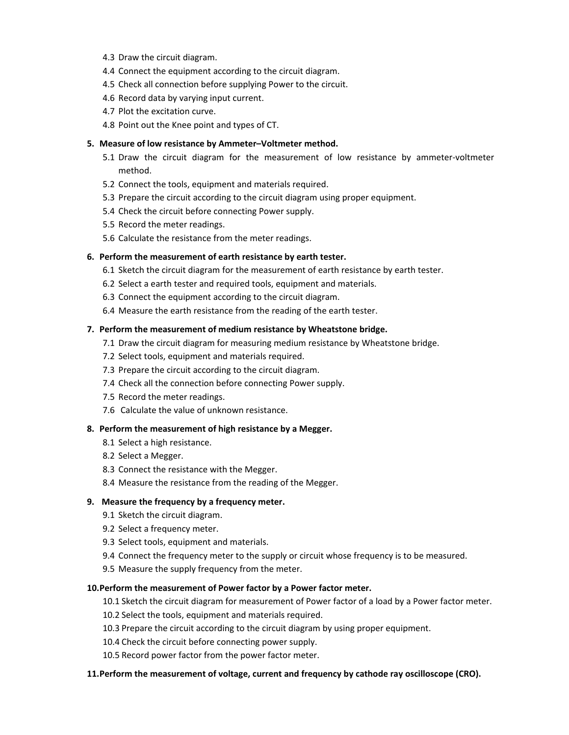- 4.3 Draw the circuit diagram.
- 4.4 Connect the equipment according to the circuit diagram.
- 4.5 Check all connection before supplying Power to the circuit.
- 4.6 Record data by varying input current.
- 4.7 Plot the excitation curve.
- 4.8 Point out the Knee point and types of CT.

#### **5. Measure of low resistance by Ammeter–Voltmeter method.**

- 5.1 Draw the circuit diagram for the measurement of low resistance by ammeter‐voltmeter method.
- 5.2 Connect the tools, equipment and materials required.
- 5.3 Prepare the circuit according to the circuit diagram using proper equipment.
- 5.4 Check the circuit before connecting Power supply.
- 5.5 Record the meter readings.
- 5.6 Calculate the resistance from the meter readings.

#### **6. Perform the measurement of earth resistance by earth tester.**

- 6.1 Sketch the circuit diagram for the measurement of earth resistance by earth tester.
- 6.2 Select a earth tester and required tools, equipment and materials.
- 6.3 Connect the equipment according to the circuit diagram.
- 6.4 Measure the earth resistance from the reading of the earth tester.

#### **7. Perform the measurement of medium resistance by Wheatstone bridge.**

- 7.1 Draw the circuit diagram for measuring medium resistance by Wheatstone bridge.
- 7.2 Select tools, equipment and materials required.
- 7.3 Prepare the circuit according to the circuit diagram.
- 7.4 Check all the connection before connecting Power supply.
- 7.5 Record the meter readings.
- 7.6 Calculate the value of unknown resistance.

#### **8. Perform the measurement of high resistance by a Megger.**

- 8.1 Select a high resistance.
- 8.2 Select a Megger.
- 8.3 Connect the resistance with the Megger.
- 8.4 Measure the resistance from the reading of the Megger.

#### **9. Measure the frequency by a frequency meter.**

- 9.1 Sketch the circuit diagram.
- 9.2 Select a frequency meter.
- 9.3 Select tools, equipment and materials.
- 9.4 Connect the frequency meter to the supply or circuit whose frequency is to be measured.
- 9.5 Measure the supply frequency from the meter.

#### **10.Perform the measurement of Power factor by a Power factor meter.**

10.1 Sketch the circuit diagram for measurement of Power factor of a load by a Power factor meter.

- 10.2 Select the tools, equipment and materials required.
- 10.3 Prepare the circuit according to the circuit diagram by using proper equipment.
- 10.4 Check the circuit before connecting power supply.
- 10.5 Record power factor from the power factor meter.

#### **11.Perform the measurement of voltage, current and frequency by cathode ray oscilloscope (CRO).**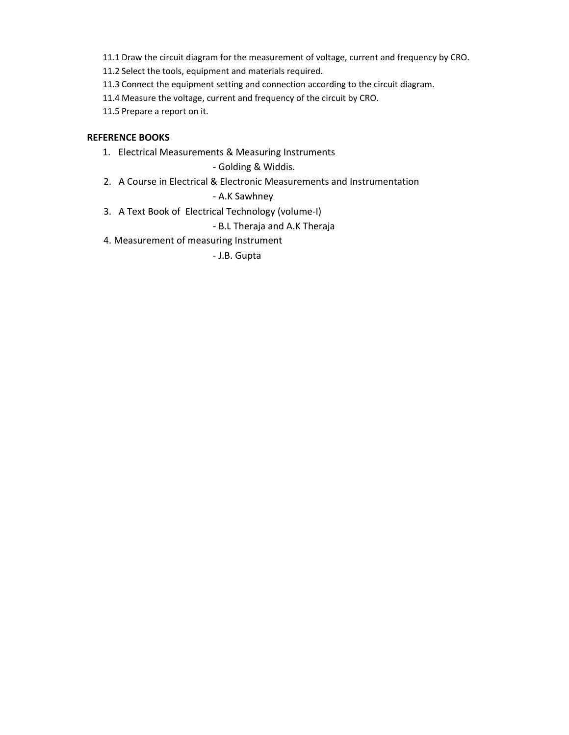11.1 Draw the circuit diagram for the measurement of voltage, current and frequency by CRO.

11.2 Select the tools, equipment and materials required.

11.3 Connect the equipment setting and connection according to the circuit diagram.

11.4 Measure the voltage, current and frequency of the circuit by CRO.

11.5 Prepare a report on it.

#### **REFERENCE BOOKS**

1. Electrical Measurements & Measuring Instruments

‐ Golding & Widdis.

2. A Course in Electrical & Electronic Measurements and Instrumentation

#### ‐ A.K Sawhney

3. A Text Book of Electrical Technology (volume-I)

#### ‐ B.L Theraja and A.K Theraja

4. Measurement of measuring Instrument

‐ J.B. Gupta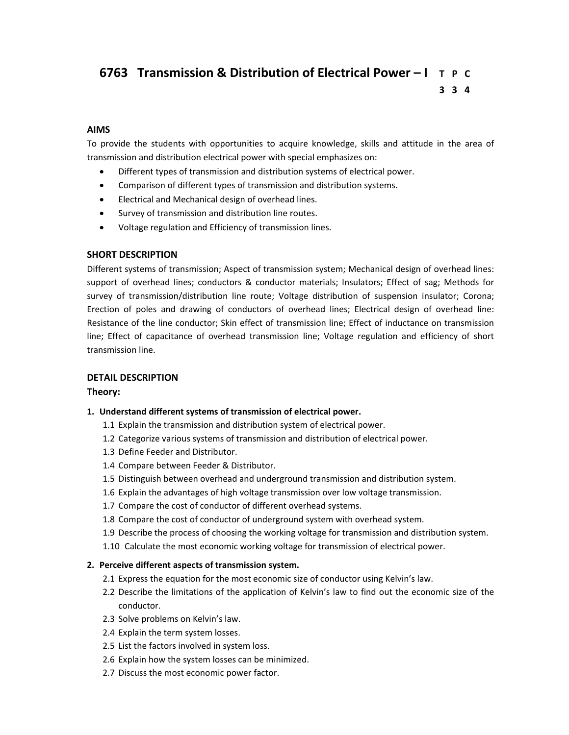# **6763 Transmission & Distribution of Electrical Power – I T P C 3 3 4**

#### **AIMS**

To provide the students with opportunities to acquire knowledge, skills and attitude in the area of transmission and distribution electrical power with special emphasizes on:

- Different types of transmission and distribution systems of electrical power.
- Comparison of different types of transmission and distribution systems.
- Electrical and Mechanical design of overhead lines.
- Survey of transmission and distribution line routes.
- Voltage regulation and Efficiency of transmission lines.

#### **SHORT DESCRIPTION**

Different systems of transmission; Aspect of transmission system; Mechanical design of overhead lines: support of overhead lines; conductors & conductor materials; Insulators; Effect of sag; Methods for survey of transmission/distribution line route; Voltage distribution of suspension insulator; Corona; Erection of poles and drawing of conductors of overhead lines; Electrical design of overhead line: Resistance of the line conductor; Skin effect of transmission line; Effect of inductance on transmission line; Effect of capacitance of overhead transmission line; Voltage regulation and efficiency of short transmission line.

#### **DETAIL DESCRIPTION**

#### **Theory:**

#### **1. Understand different systems of transmission of electrical power.**

- 1.1 Explain the transmission and distribution system of electrical power.
- 1.2 Categorize various systems of transmission and distribution of electrical power.
- 1.3 Define Feeder and Distributor.
- 1.4 Compare between Feeder & Distributor.
- 1.5 Distinguish between overhead and underground transmission and distribution system.
- 1.6 Explain the advantages of high voltage transmission over low voltage transmission.
- 1.7 Compare the cost of conductor of different overhead systems.
- 1.8 Compare the cost of conductor of underground system with overhead system.
- 1.9 Describe the process of choosing the working voltage for transmission and distribution system.
- 1.10 Calculate the most economic working voltage for transmission of electrical power.

#### **2. Perceive different aspects of transmission system.**

- 2.1 Express the equation for the most economic size of conductor using Kelvin's law.
- 2.2 Describe the limitations of the application of Kelvin's law to find out the economic size of the conductor.
- 2.3 Solve problems on Kelvin's law.
- 2.4 Explain the term system losses.
- 2.5 List the factors involved in system loss.
- 2.6 Explain how the system losses can be minimized.
- 2.7 Discuss the most economic power factor.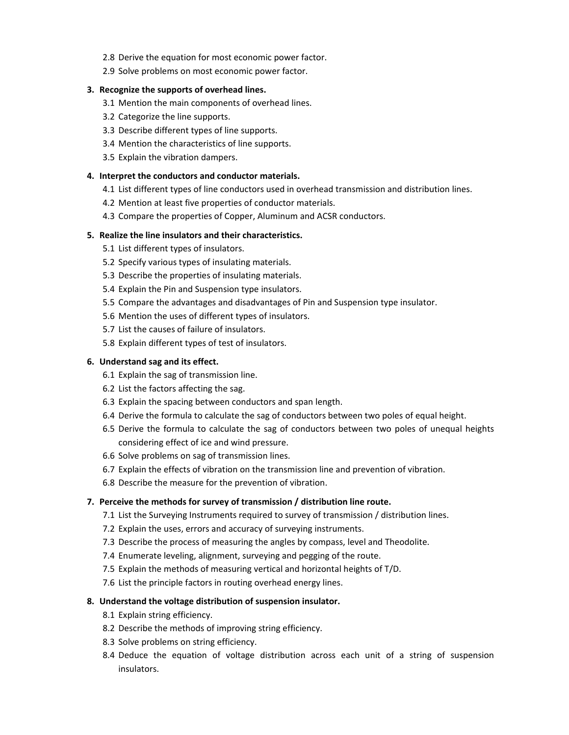- 2.8 Derive the equation for most economic power factor.
- 2.9 Solve problems on most economic power factor.

#### **3. Recognize the supports of overhead lines.**

- 3.1 Mention the main components of overhead lines.
- 3.2 Categorize the line supports.
- 3.3 Describe different types of line supports.
- 3.4 Mention the characteristics of line supports.
- 3.5 Explain the vibration dampers.

#### **4. Interpret the conductors and conductor materials.**

- 4.1 List different types of line conductors used in overhead transmission and distribution lines.
- 4.2 Mention at least five properties of conductor materials.
- 4.3 Compare the properties of Copper, Aluminum and ACSR conductors.

#### **5. Realize the line insulators and their characteristics.**

- 5.1 List different types of insulators.
- 5.2 Specify various types of insulating materials.
- 5.3 Describe the properties of insulating materials.
- 5.4 Explain the Pin and Suspension type insulators.
- 5.5 Compare the advantages and disadvantages of Pin and Suspension type insulator.
- 5.6 Mention the uses of different types of insulators.
- 5.7 List the causes of failure of insulators.
- 5.8 Explain different types of test of insulators.

#### **6. Understand sag and its effect.**

- 6.1 Explain the sag of transmission line.
- 6.2 List the factors affecting the sag.
- 6.3 Explain the spacing between conductors and span length.
- 6.4 Derive the formula to calculate the sag of conductors between two poles of equal height.
- 6.5 Derive the formula to calculate the sag of conductors between two poles of unequal heights considering effect of ice and wind pressure.
- 6.6 Solve problems on sag of transmission lines.
- 6.7 Explain the effects of vibration on the transmission line and prevention of vibration.
- 6.8 Describe the measure for the prevention of vibration.

#### **7. Perceive the methods for survey of transmission / distribution line route.**

- 7.1 List the Surveying Instruments required to survey of transmission / distribution lines.
- 7.2 Explain the uses, errors and accuracy of surveying instruments.
- 7.3 Describe the process of measuring the angles by compass, level and Theodolite.
- 7.4 Enumerate leveling, alignment, surveying and pegging of the route.
- 7.5 Explain the methods of measuring vertical and horizontal heights of T/D.
- 7.6 List the principle factors in routing overhead energy lines.

#### **8. Understand the voltage distribution of suspension insulator.**

- 8.1 Explain string efficiency.
- 8.2 Describe the methods of improving string efficiency.
- 8.3 Solve problems on string efficiency.
- 8.4 Deduce the equation of voltage distribution across each unit of a string of suspension insulators.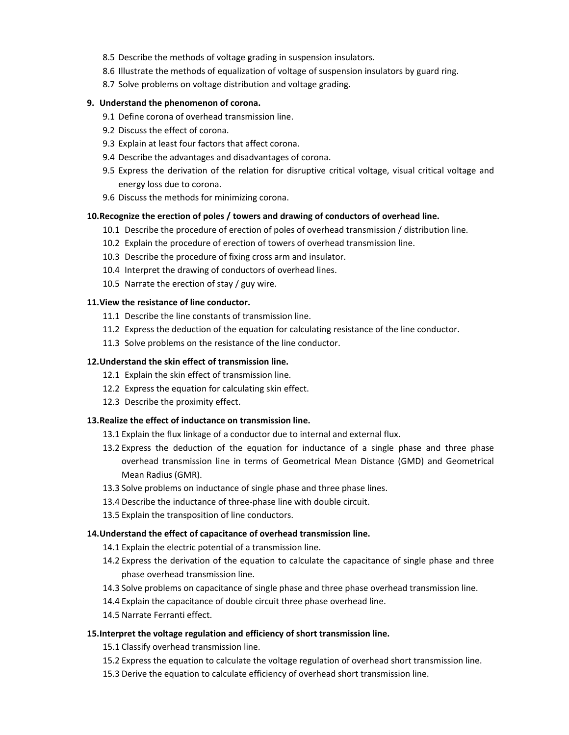- 8.5 Describe the methods of voltage grading in suspension insulators.
- 8.6 Illustrate the methods of equalization of voltage of suspension insulators by guard ring.
- 8.7 Solve problems on voltage distribution and voltage grading.

#### **9. Understand the phenomenon of corona.**

- 9.1 Define corona of overhead transmission line.
- 9.2 Discuss the effect of corona.
- 9.3 Explain at least four factors that affect corona.
- 9.4 Describe the advantages and disadvantages of corona.
- 9.5 Express the derivation of the relation for disruptive critical voltage, visual critical voltage and energy loss due to corona.
- 9.6 Discuss the methods for minimizing corona.

#### **10.Recognize the erection of poles / towers and drawing of conductors of overhead line.**

- 10.1 Describe the procedure of erection of poles of overhead transmission / distribution line.
- 10.2 Explain the procedure of erection of towers of overhead transmission line.
- 10.3 Describe the procedure of fixing cross arm and insulator.
- 10.4 Interpret the drawing of conductors of overhead lines.
- 10.5 Narrate the erection of stay / guy wire.

#### **11.View the resistance of line conductor.**

- 11.1 Describe the line constants of transmission line.
- 11.2 Express the deduction of the equation for calculating resistance of the line conductor.
- 11.3 Solve problems on the resistance of the line conductor.

#### **12.Understand the skin effect of transmission line.**

- 12.1 Explain the skin effect of transmission line.
- 12.2 Express the equation for calculating skin effect.
- 12.3 Describe the proximity effect.

#### **13.Realize the effect of inductance on transmission line.**

- 13.1 Explain the flux linkage of a conductor due to internal and external flux.
- 13.2 Express the deduction of the equation for inductance of a single phase and three phase overhead transmission line in terms of Geometrical Mean Distance (GMD) and Geometrical Mean Radius (GMR).
- 13.3 Solve problems on inductance of single phase and three phase lines.
- 13.4 Describe the inductance of three-phase line with double circuit.
- 13.5 Explain the transposition of line conductors.

#### **14.Understand the effect of capacitance of overhead transmission line.**

- 14.1 Explain the electric potential of a transmission line.
- 14.2 Express the derivation of the equation to calculate the capacitance of single phase and three phase overhead transmission line.
- 14.3 Solve problems on capacitance of single phase and three phase overhead transmission line.
- 14.4 Explain the capacitance of double circuit three phase overhead line.
- 14.5 Narrate Ferranti effect.

#### **15.Interpret the voltage regulation and efficiency of short transmission line.**

- 15.1 Classify overhead transmission line.
- 15.2 Express the equation to calculate the voltage regulation of overhead short transmission line.
- 15.3 Derive the equation to calculate efficiency of overhead short transmission line.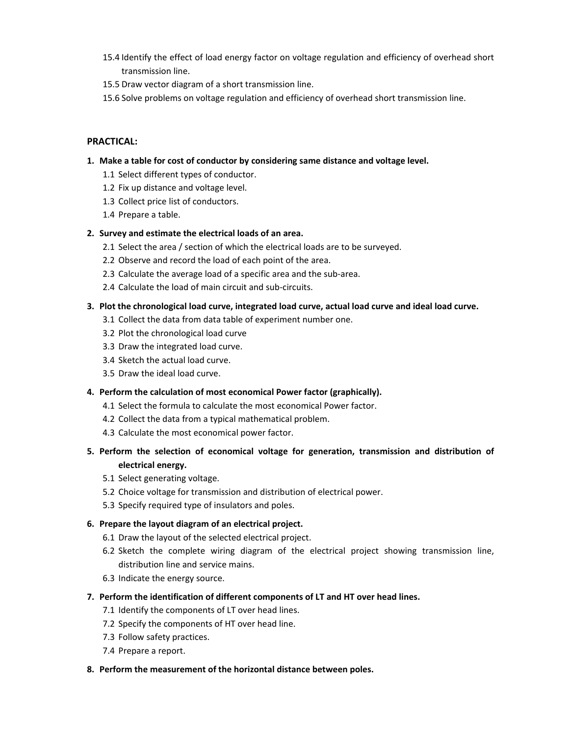- 15.4 Identify the effect of load energy factor on voltage regulation and efficiency of overhead short transmission line.
- 15.5 Draw vector diagram of a short transmission line.
- 15.6 Solve problems on voltage regulation and efficiency of overhead short transmission line.

#### **PRACTICAL:**

- **1. Make a table for cost of conductor by considering same distance and voltage level.** 
	- 1.1 Select different types of conductor.
	- 1.2 Fix up distance and voltage level.
	- 1.3 Collect price list of conductors.
	- 1.4 Prepare a table.

#### **2. Survey and estimate the electrical loads of an area.**

- 2.1 Select the area / section of which the electrical loads are to be surveyed.
- 2.2 Observe and record the load of each point of the area.
- 2.3 Calculate the average load of a specific area and the sub‐area.
- 2.4 Calculate the load of main circuit and sub-circuits.

#### **3. Plot the chronological load curve, integrated load curve, actual load curve and ideal load curve.**

- 3.1 Collect the data from data table of experiment number one.
- 3.2 Plot the chronological load curve
- 3.3 Draw the integrated load curve.
- 3.4 Sketch the actual load curve.
- 3.5 Draw the ideal load curve.

#### **4. Perform the calculation of most economical Power factor (graphically).**

- 4.1 Select the formula to calculate the most economical Power factor.
- 4.2 Collect the data from a typical mathematical problem.
- 4.3 Calculate the most economical power factor.
- **5. Perform the selection of economical voltage for generation, transmission and distribution of electrical energy.**
	- 5.1 Select generating voltage.
	- 5.2 Choice voltage for transmission and distribution of electrical power.
	- 5.3 Specify required type of insulators and poles.

#### **6. Prepare the layout diagram of an electrical project.**

- 6.1 Draw the layout of the selected electrical project.
- 6.2 Sketch the complete wiring diagram of the electrical project showing transmission line, distribution line and service mains.
- 6.3 Indicate the energy source.
- **7. Perform the identification of different components of LT and HT over head lines.** 
	- 7.1 Identify the components of LT over head lines.
	- 7.2 Specify the components of HT over head line.
	- 7.3 Follow safety practices.
	- 7.4 Prepare a report.
- **8. Perform the measurement of the horizontal distance between poles.**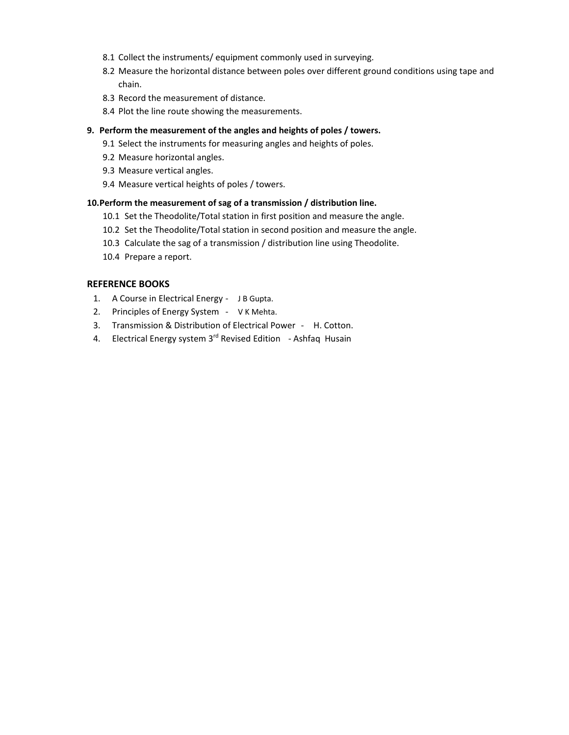- 8.1 Collect the instruments/ equipment commonly used in surveying.
- 8.2 Measure the horizontal distance between poles over different ground conditions using tape and chain.
- 8.3 Record the measurement of distance.
- 8.4 Plot the line route showing the measurements.

#### **9. Perform the measurement of the angles and heights of poles / towers.**

- 9.1 Select the instruments for measuring angles and heights of poles.
- 9.2 Measure horizontal angles.
- 9.3 Measure vertical angles.
- 9.4 Measure vertical heights of poles / towers.

#### **10.Perform the measurement of sag of a transmission / distribution line.**

- 10.1 Set the Theodolite/Total station in first position and measure the angle.
- 10.2 Set the Theodolite/Total station in second position and measure the angle.
- 10.3 Calculate the sag of a transmission / distribution line using Theodolite.
- 10.4 Prepare a report.

#### **REFERENCE BOOKS**

- 1. A Course in Electrical Energy JB Gupta.
- 2. Principles of Energy System VK Mehta.
- 3. Transmission & Distribution of Electrical Power ‐ H. Cotton.
- 4. Electrical Energy system 3<sup>rd</sup> Revised Edition Ashfaq Husain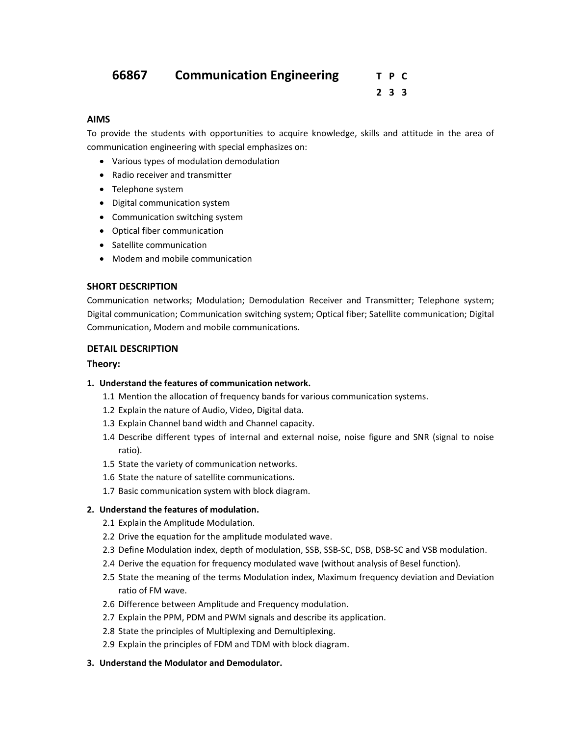#### **2 3 3**

#### **AIMS**

To provide the students with opportunities to acquire knowledge, skills and attitude in the area of communication engineering with special emphasizes on:

- Various types of modulation demodulation
- Radio receiver and transmitter
- Telephone system
- Digital communication system
- Communication switching system
- Optical fiber communication
- Satellite communication
- Modem and mobile communication

#### **SHORT DESCRIPTION**

Communication networks; Modulation; Demodulation Receiver and Transmitter; Telephone system; Digital communication; Communication switching system; Optical fiber; Satellite communication; Digital Communication, Modem and mobile communications.

#### **DETAIL DESCRIPTION**

#### **Theory:**

#### **1. Understand the features of communication network.**

- 1.1 Mention the allocation of frequency bands for various communication systems.
- 1.2 Explain the nature of Audio, Video, Digital data.
- 1.3 Explain Channel band width and Channel capacity.
- 1.4 Describe different types of internal and external noise, noise figure and SNR (signal to noise ratio).
- 1.5 State the variety of communication networks.
- 1.6 State the nature of satellite communications.
- 1.7 Basic communication system with block diagram.

#### **2. Understand the features of modulation.**

- 2.1 Explain the Amplitude Modulation.
- 2.2 Drive the equation for the amplitude modulated wave.
- 2.3 Define Modulation index, depth of modulation, SSB, SSB‐SC, DSB, DSB‐SC and VSB modulation.
- 2.4 Derive the equation for frequency modulated wave (without analysis of Besel function).
- 2.5 State the meaning of the terms Modulation index, Maximum frequency deviation and Deviation ratio of FM wave.
- 2.6 Difference between Amplitude and Frequency modulation.
- 2.7 Explain the PPM, PDM and PWM signals and describe its application.
- 2.8 State the principles of Multiplexing and Demultiplexing.
- 2.9 Explain the principles of FDM and TDM with block diagram.

#### **3. Understand the Modulator and Demodulator.**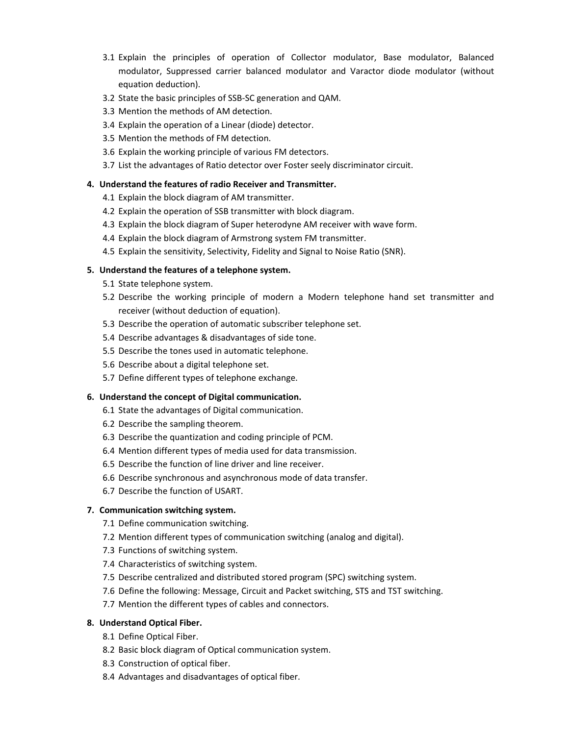- 3.1 Explain the principles of operation of Collector modulator, Base modulator, Balanced modulator, Suppressed carrier balanced modulator and Varactor diode modulator (without equation deduction).
- 3.2 State the basic principles of SSB‐SC generation and QAM.
- 3.3 Mention the methods of AM detection.
- 3.4 Explain the operation of a Linear (diode) detector.
- 3.5 Mention the methods of FM detection.
- 3.6 Explain the working principle of various FM detectors.
- 3.7 List the advantages of Ratio detector over Foster seely discriminator circuit.

#### **4. Understand the features of radio Receiver and Transmitter.**

- 4.1 Explain the block diagram of AM transmitter.
- 4.2 Explain the operation of SSB transmitter with block diagram.
- 4.3 Explain the block diagram of Super heterodyne AM receiver with wave form.
- 4.4 Explain the block diagram of Armstrong system FM transmitter.
- 4.5 Explain the sensitivity, Selectivity, Fidelity and Signal to Noise Ratio (SNR).

#### **5. Understand the features of a telephone system.**

- 5.1 State telephone system.
- 5.2 Describe the working principle of modern a Modern telephone hand set transmitter and receiver (without deduction of equation).
- 5.3 Describe the operation of automatic subscriber telephone set.
- 5.4 Describe advantages & disadvantages of side tone.
- 5.5 Describe the tones used in automatic telephone.
- 5.6 Describe about a digital telephone set.
- 5.7 Define different types of telephone exchange.

#### **6. Understand the concept of Digital communication.**

- 6.1 State the advantages of Digital communication.
- 6.2 Describe the sampling theorem.
- 6.3 Describe the quantization and coding principle of PCM.
- 6.4 Mention different types of media used for data transmission.
- 6.5 Describe the function of line driver and line receiver.
- 6.6 Describe synchronous and asynchronous mode of data transfer.
- 6.7 Describe the function of USART.

#### **7. Communication switching system.**

- 7.1 Define communication switching.
- 7.2 Mention different types of communication switching (analog and digital).
- 7.3 Functions of switching system.
- 7.4 Characteristics of switching system.
- 7.5 Describe centralized and distributed stored program (SPC) switching system.
- 7.6 Define the following: Message, Circuit and Packet switching, STS and TST switching.
- 7.7 Mention the different types of cables and connectors.

#### **8. Understand Optical Fiber.**

- 8.1 Define Optical Fiber.
- 8.2 Basic block diagram of Optical communication system.
- 8.3 Construction of optical fiber.
- 8.4 Advantages and disadvantages of optical fiber.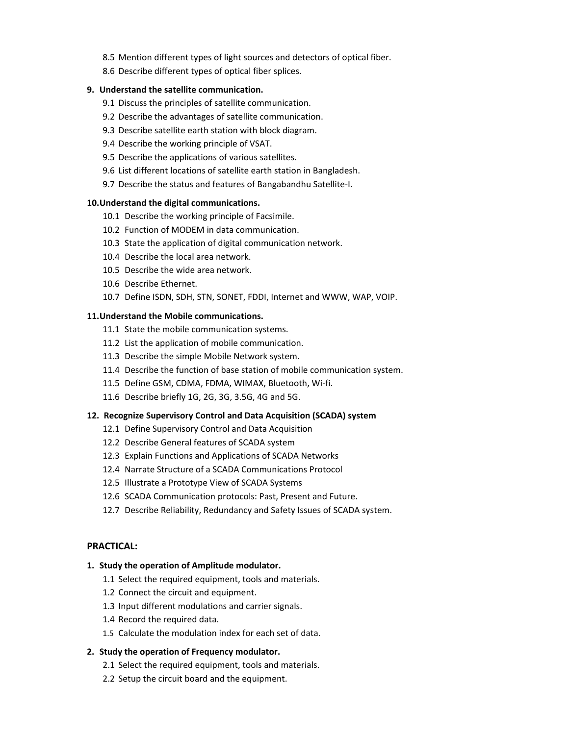- 8.5 Mention different types of light sources and detectors of optical fiber.
- 8.6 Describe different types of optical fiber splices.

#### **9. Understand the satellite communication.**

- 9.1 Discuss the principles of satellite communication.
- 9.2 Describe the advantages of satellite communication.
- 9.3 Describe satellite earth station with block diagram.
- 9.4 Describe the working principle of VSAT.
- 9.5 Describe the applications of various satellites.
- 9.6 List different locations of satellite earth station in Bangladesh.
- 9.7 Describe the status and features of Bangabandhu Satellite‐I.

#### **10.Understand the digital communications.**

- 10.1 Describe the working principle of Facsimile.
- 10.2 Function of MODEM in data communication.
- 10.3 State the application of digital communication network.
- 10.4 Describe the local area network.
- 10.5 Describe the wide area network.
- 10.6 Describe Ethernet.
- 10.7 Define ISDN, SDH, STN, SONET, FDDI, Internet and WWW, WAP, VOIP.

#### **11.Understand the Mobile communications.**

- 11.1 State the mobile communication systems.
- 11.2 List the application of mobile communication.
- 11.3 Describe the simple Mobile Network system.
- 11.4 Describe the function of base station of mobile communication system.
- 11.5 Define GSM, CDMA, FDMA, WIMAX, Bluetooth, Wi‐fi.
- 11.6 Describe briefly 1G, 2G, 3G, 3.5G, 4G and 5G.

#### **12. Recognize Supervisory Control and Data Acquisition (SCADA) system**

- 12.1 Define Supervisory Control and Data Acquisition
- 12.2 Describe General features of SCADA system
- 12.3 Explain Functions and Applications of SCADA Networks
- 12.4 Narrate Structure of a SCADA Communications Protocol
- 12.5 Illustrate a Prototype View of SCADA Systems
- 12.6 SCADA Communication protocols: Past, Present and Future.
- 12.7 Describe Reliability, Redundancy and Safety Issues of SCADA system.

#### **PRACTICAL:**

#### **1. Study the operation of Amplitude modulator.**

- 1.1 Select the required equipment, tools and materials.
- 1.2 Connect the circuit and equipment.
- 1.3 Input different modulations and carrier signals.
- 1.4 Record the required data.
- 1.5 Calculate the modulation index for each set of data.

#### **2. Study the operation of Frequency modulator.**

- 2.1 Select the required equipment, tools and materials.
- 2.2 Setup the circuit board and the equipment.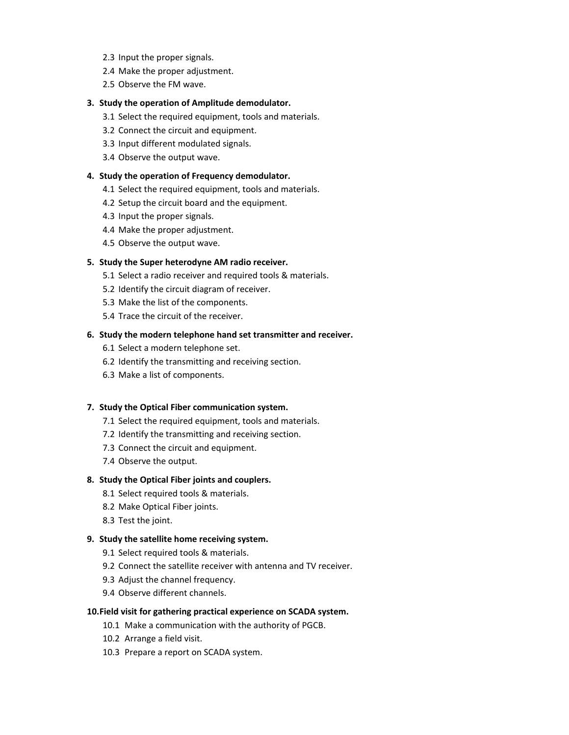- 2.3 Input the proper signals.
- 2.4 Make the proper adjustment.
- 2.5 Observe the FM wave.

#### **3. Study the operation of Amplitude demodulator.**

- 3.1 Select the required equipment, tools and materials.
- 3.2 Connect the circuit and equipment.
- 3.3 Input different modulated signals.
- 3.4 Observe the output wave.

#### **4. Study the operation of Frequency demodulator.**

- 4.1 Select the required equipment, tools and materials.
- 4.2 Setup the circuit board and the equipment.
- 4.3 Input the proper signals.
- 4.4 Make the proper adjustment.
- 4.5 Observe the output wave.

#### **5. Study the Super heterodyne AM radio receiver.**

- 5.1 Select a radio receiver and required tools & materials.
- 5.2 Identify the circuit diagram of receiver.
- 5.3 Make the list of the components.
- 5.4 Trace the circuit of the receiver.

#### **6. Study the modern telephone hand set transmitter and receiver.**

- 6.1 Select a modern telephone set.
- 6.2 Identify the transmitting and receiving section.
- 6.3 Make a list of components.

#### **7. Study the Optical Fiber communication system.**

- 7.1 Select the required equipment, tools and materials.
- 7.2 Identify the transmitting and receiving section.
- 7.3 Connect the circuit and equipment.
- 7.4 Observe the output.

#### **8. Study the Optical Fiber joints and couplers.**

- 8.1 Select required tools & materials.
- 8.2 Make Optical Fiber joints.
- 8.3 Test the joint.

#### **9. Study the satellite home receiving system.**

- 9.1 Select required tools & materials.
- 9.2 Connect the satellite receiver with antenna and TV receiver.
- 9.3 Adjust the channel frequency.
- 9.4 Observe different channels.

#### **10.Field visit for gathering practical experience on SCADA system.**

- 10.1 Make a communication with the authority of PGCB.
- 10.2 Arrange a field visit.
- 10.3 Prepare a report on SCADA system.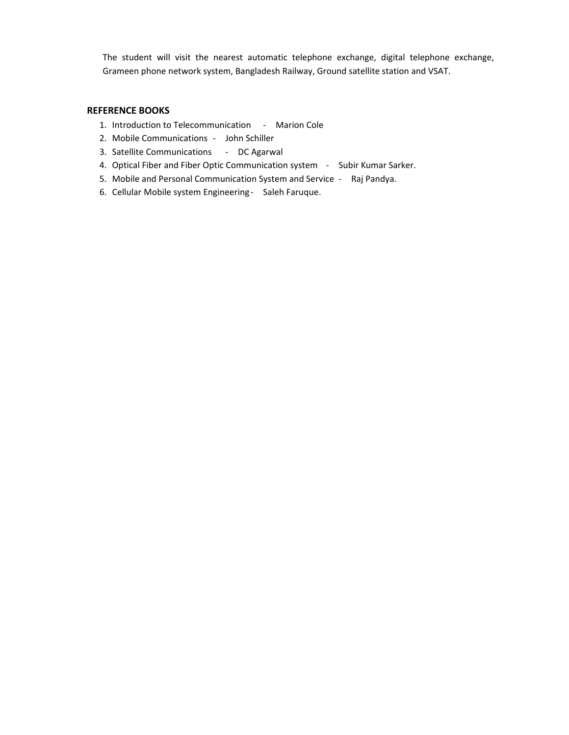The student will visit the nearest automatic telephone exchange, digital telephone exchange, Grameen phone network system, Bangladesh Railway, Ground satellite station and VSAT.

#### **REFERENCE BOOKS**

- 1. Introduction to Telecommunication ‐ Marion Cole
- 2. Mobile Communications John Schiller
- 3. Satellite Communications ‐ DC Agarwal
- 4. Optical Fiber and Fiber Optic Communication system Subir Kumar Sarker.
- 5. Mobile and Personal Communication System and Service ‐ Raj Pandya.
- 6. Cellular Mobile system Engineering ‐ Saleh Faruque.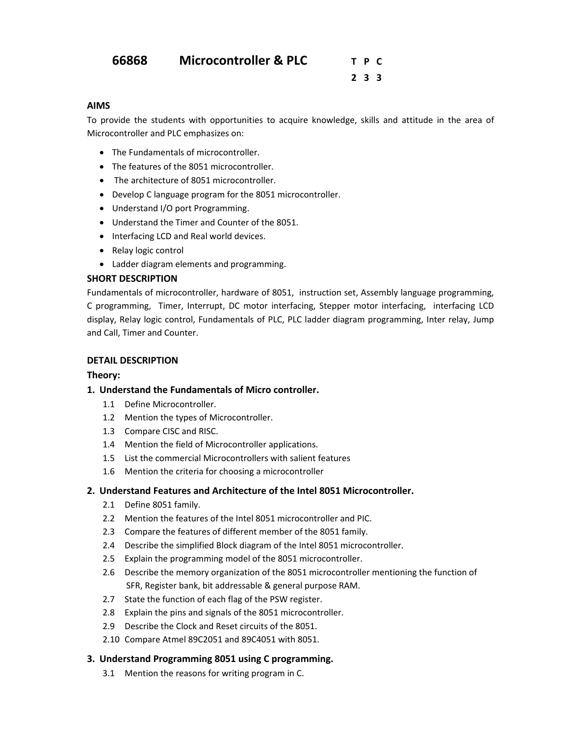### **66868 Microcontroller & PLC T P C**

 **2 3 3**

#### **AIMS**

To provide the students with opportunities to acquire knowledge, skills and attitude in the area of Microcontroller and PLC emphasizes on:

- The Fundamentals of microcontroller.
- The features of the 8051 microcontroller.
- The architecture of 8051 microcontroller.
- Develop C language program for the 8051 microcontroller.
- Understand I/O port Programming.
- Understand the Timer and Counter of the 8051.
- Interfacing LCD and Real world devices.
- Relay logic control
- Ladder diagram elements and programming.

#### **SHORT DESCRIPTION**

Fundamentals of microcontroller, hardware of 8051, instruction set, Assembly language programming, C programming, Timer, Interrupt, DC motor interfacing, Stepper motor interfacing, interfacing LCD display, Relay logic control, Fundamentals of PLC, PLC ladder diagram programming, Inter relay, Jump and Call, Timer and Counter.

#### **DETAIL DESCRIPTION**

#### **Theory:**

#### **1. Understand the Fundamentals of Micro controller.**

- 1.1 Define Microcontroller.
- 1.2 Mention the types of Microcontroller.
- 1.3 Compare CISC and RISC.
- 1.4 Mention the field of Microcontroller applications.
- 1.5 List the commercial Microcontrollers with salient features
- 1.6 Mention the criteria for choosing a microcontroller

#### **2. Understand Features and Architecture of the Intel 8051 Microcontroller.**

- 2.1 Define 8051 family.
- 2.2 Mention the features of the Intel 8051 microcontroller and PIC.
- 2.3 Compare the features of different member of the 8051 family.
- 2.4 Describe the simplified Block diagram of the Intel 8051 microcontroller.
- 2.5 Explain the programming model of the 8051 microcontroller.
- 2.6 Describe the memory organization of the 8051 microcontroller mentioning the function of SFR, Register bank, bit addressable & general purpose RAM.
- 2.7 State the function of each flag of the PSW register.
- 2.8 Explain the pins and signals of the 8051 microcontroller.
- 2.9 Describe the Clock and Reset circuits of the 8051.
- 2.10 Compare Atmel 89C2051 and 89C4051 with 8051.

#### **3. Understand Programming 8051 using C programming.**

3.1 Mention the reasons for writing program in C.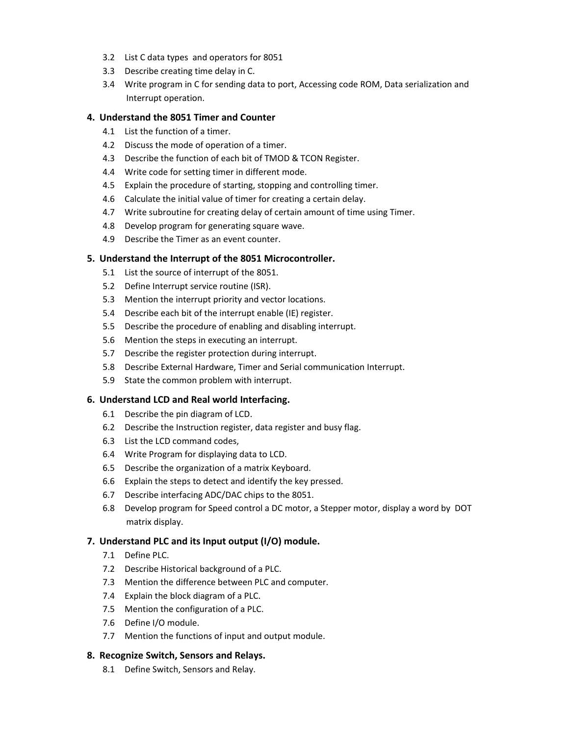- 3.2 List C data types and operators for 8051
- 3.3 Describe creating time delay in C.
- 3.4 Write program in C for sending data to port, Accessing code ROM, Data serialization and Interrupt operation.

#### **4. Understand the 8051 Timer and Counter**

- 4.1 List the function of a timer.
- 4.2 Discuss the mode of operation of a timer.
- 4.3 Describe the function of each bit of TMOD & TCON Register.
- 4.4 Write code for setting timer in different mode.
- 4.5 Explain the procedure of starting, stopping and controlling timer.
- 4.6 Calculate the initial value of timer for creating a certain delay.
- 4.7 Write subroutine for creating delay of certain amount of time using Timer.
- 4.8 Develop program for generating square wave.
- 4.9 Describe the Timer as an event counter.

#### **5. Understand the Interrupt of the 8051 Microcontroller.**

- 5.1 List the source of interrupt of the 8051.
- 5.2 Define Interrupt service routine (ISR).
- 5.3 Mention the interrupt priority and vector locations.
- 5.4 Describe each bit of the interrupt enable (IE) register.
- 5.5 Describe the procedure of enabling and disabling interrupt.
- 5.6 Mention the steps in executing an interrupt.
- 5.7 Describe the register protection during interrupt.
- 5.8 Describe External Hardware, Timer and Serial communication Interrupt.
- 5.9 State the common problem with interrupt.

#### **6. Understand LCD and Real world Interfacing.**

- 6.1 Describe the pin diagram of LCD.
- 6.2 Describe the Instruction register, data register and busy flag.
- 6.3 List the LCD command codes,
- 6.4 Write Program for displaying data to LCD.
- 6.5 Describe the organization of a matrix Keyboard.
- 6.6 Explain the steps to detect and identify the key pressed.
- 6.7 Describe interfacing ADC/DAC chips to the 8051.
- 6.8 Develop program for Speed control a DC motor, a Stepper motor, display a word by DOT matrix display.

#### **7. Understand PLC and its Input output (I/O) module.**

- 7.1 Define PLC.
- 7.2 Describe Historical background of a PLC.
- 7.3 Mention the difference between PLC and computer.
- 7.4 Explain the block diagram of a PLC.
- 7.5 Mention the configuration of a PLC.
- 7.6 Define I/O module.
- 7.7 Mention the functions of input and output module.

#### **8. Recognize Switch, Sensors and Relays.**

8.1 Define Switch, Sensors and Relay.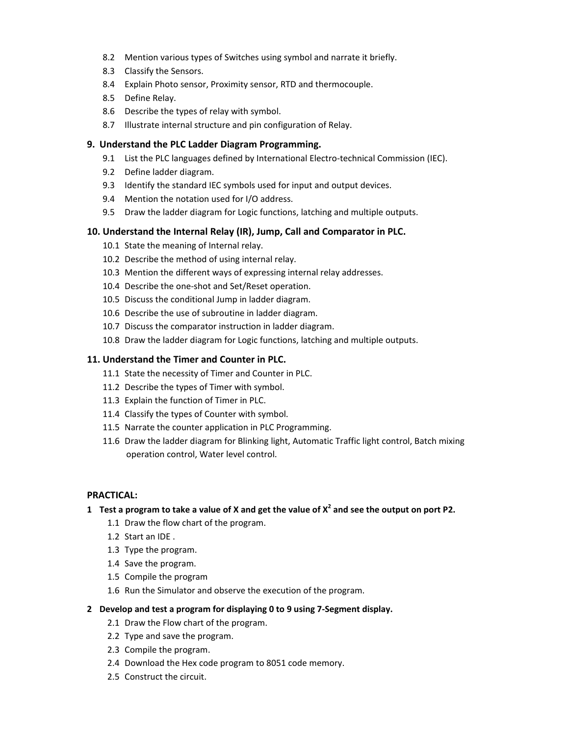- 8.2 Mention various types of Switches using symbol and narrate it briefly.
- 8.3 Classify the Sensors.
- 8.4 Explain Photo sensor, Proximity sensor, RTD and thermocouple.
- 8.5 Define Relay.
- 8.6 Describe the types of relay with symbol.
- 8.7 Illustrate internal structure and pin configuration of Relay.

#### **9. Understand the PLC Ladder Diagram Programming.**

- 9.1 List the PLC languages defined by International Electro-technical Commission (IEC).
- 9.2 Define ladder diagram.
- 9.3 Identify the standard IEC symbols used for input and output devices.
- 9.4 Mention the notation used for I/O address.
- 9.5 Draw the ladder diagram for Logic functions, latching and multiple outputs.

#### **10. Understand the Internal Relay (IR), Jump, Call and Comparator in PLC.**

- 10.1 State the meaning of Internal relay.
- 10.2 Describe the method of using internal relay.
- 10.3 Mention the different ways of expressing internal relay addresses.
- 10.4 Describe the one-shot and Set/Reset operation.
- 10.5 Discuss the conditional Jump in ladder diagram.
- 10.6 Describe the use of subroutine in ladder diagram.
- 10.7 Discuss the comparator instruction in ladder diagram.
- 10.8 Draw the ladder diagram for Logic functions, latching and multiple outputs.

#### **11. Understand the Timer and Counter in PLC.**

- 11.1 State the necessity of Timer and Counter in PLC.
- 11.2 Describe the types of Timer with symbol.
- 11.3 Explain the function of Timer in PLC.
- 11.4 Classify the types of Counter with symbol.
- 11.5 Narrate the counter application in PLC Programming.
- 11.6 Draw the ladder diagram for Blinking light, Automatic Traffic light control, Batch mixing operation control, Water level control.

#### **PRACTICAL:**

#### 1 Test a program to take a value of X and get the value of  $X^2$  and see the output on port P2.

- 1.1 Draw the flow chart of the program.
- 1.2 Start an IDE .
- 1.3 Type the program.
- 1.4 Save the program.
- 1.5 Compile the program
- 1.6 Run the Simulator and observe the execution of the program.

#### **2 Develop and test a program for displaying 0 to 9 using 7‐Segment display.**

- 2.1 Draw the Flow chart of the program.
- 2.2 Type and save the program.
- 2.3 Compile the program.
- 2.4 Download the Hex code program to 8051 code memory.
- 2.5 Construct the circuit.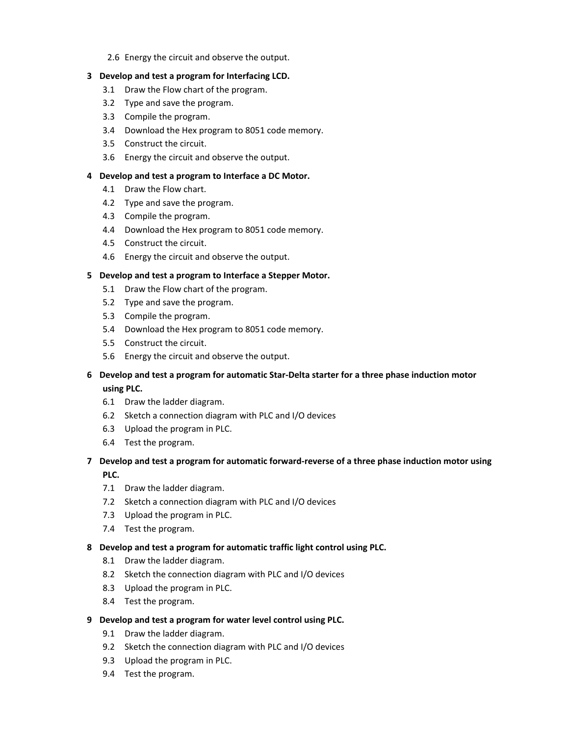2.6 Energy the circuit and observe the output.

#### **3 Develop and test a program for Interfacing LCD.**

- 3.1 Draw the Flow chart of the program.
- 3.2 Type and save the program.
- 3.3 Compile the program.
- 3.4 Download the Hex program to 8051 code memory.
- 3.5 Construct the circuit.
- 3.6 Energy the circuit and observe the output.

#### **4 Develop and test a program to Interface a DC Motor.**

- 4.1 Draw the Flow chart.
- 4.2 Type and save the program.
- 4.3 Compile the program.
- 4.4 Download the Hex program to 8051 code memory.
- 4.5 Construct the circuit.
- 4.6 Energy the circuit and observe the output.

#### **5 Develop and test a program to Interface a Stepper Motor.**

- 5.1 Draw the Flow chart of the program.
- 5.2 Type and save the program.
- 5.3 Compile the program.
- 5.4 Download the Hex program to 8051 code memory.
- 5.5 Construct the circuit.
- 5.6 Energy the circuit and observe the output.

#### **6 Develop and test a program for automatic Star‐Delta starter for a three phase induction motor using PLC.**

- 6.1 Draw the ladder diagram.
- 6.2 Sketch a connection diagram with PLC and I/O devices
- 6.3 Upload the program in PLC.
- 6.4 Test the program.

#### **7 Develop and test a program for automatic forward‐reverse of a three phase induction motor using PLC.**

- 7.1 Draw the ladder diagram.
- 7.2 Sketch a connection diagram with PLC and I/O devices
- 7.3 Upload the program in PLC.
- 7.4 Test the program.

#### **8 Develop and test a program for automatic traffic light control using PLC.**

- 8.1 Draw the ladder diagram.
- 8.2 Sketch the connection diagram with PLC and I/O devices
- 8.3 Upload the program in PLC.
- 8.4 Test the program.

#### **9 Develop and test a program for water level control using PLC.**

- 9.1 Draw the ladder diagram.
- 9.2 Sketch the connection diagram with PLC and I/O devices
- 9.3 Upload the program in PLC.
- 9.4 Test the program.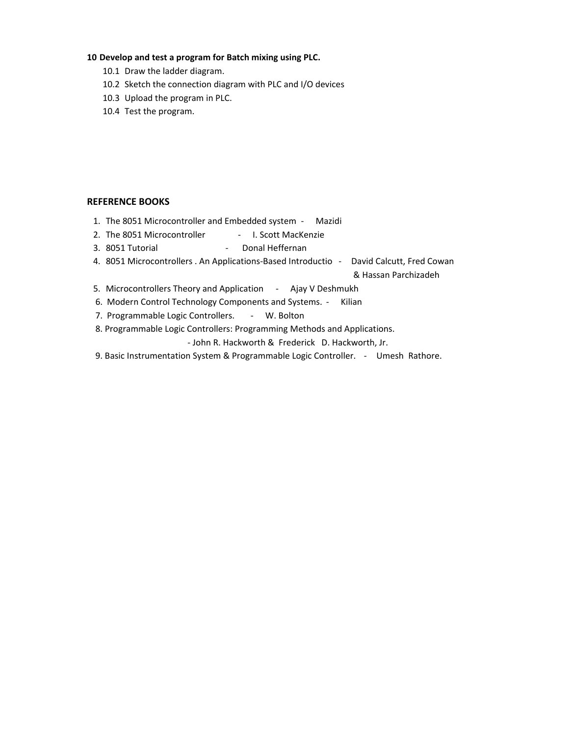#### **10 Develop and test a program for Batch mixing using PLC.**

- 10.1 Draw the ladder diagram.
- 10.2 Sketch the connection diagram with PLC and I/O devices
- 10.3 Upload the program in PLC.
- 10.4 Test the program.

#### **REFERENCE BOOKS**

- 1. The 8051 Microcontroller and Embedded system ‐ Mazidi
- 2. The 8051 Microcontroller ‐ I. Scott MacKenzie
- 3. 8051 Tutorial ‐ Donal Heffernan
- 4. 8051 Microcontrollers . An Applications-Based Introductio David Calcutt, Fred Cowan

& Hassan Parchizadeh

- 5. Microcontrollers Theory and Application Ajay V Deshmukh
- 6. Modern Control Technology Components and Systems. ‐ Kilian
- 7. Programmable Logic Controllers. W. Bolton
- 8. Programmable Logic Controllers: Programming Methods and Applications.

‐ John R. Hackworth & Frederick D. Hackworth, Jr.

9. Basic Instrumentation System & Programmable Logic Controller. - Umesh Rathore.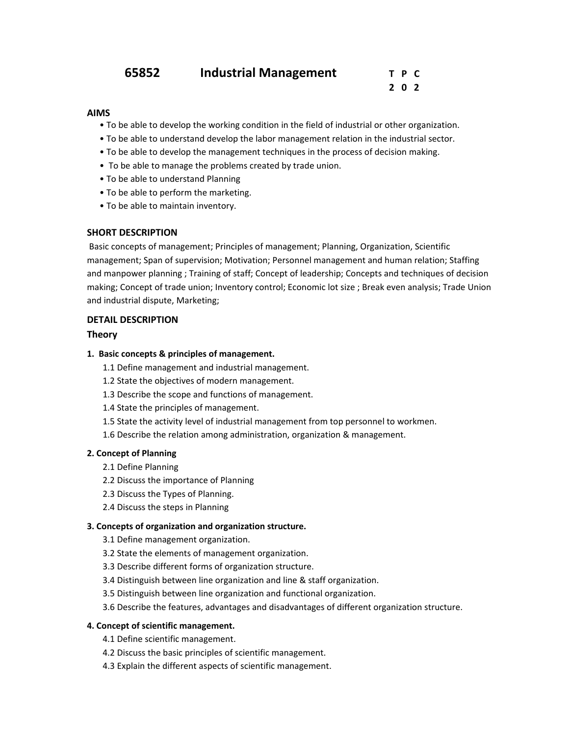| 65852 | <b>Industrial Management</b> | T P C |
|-------|------------------------------|-------|
|-------|------------------------------|-------|

 **2 0 2**

#### **AIMS**

- To be able to develop the working condition in the field of industrial or other organization.
- To be able to understand develop the labor management relation in the industrial sector.
- To be able to develop the management techniques in the process of decision making.
- To be able to manage the problems created by trade union.
- To be able to understand Planning
- To be able to perform the marketing.
- To be able to maintain inventory.

#### **SHORT DESCRIPTION**

Basic concepts of management; Principles of management; Planning, Organization, Scientific management; Span of supervision; Motivation; Personnel management and human relation; Staffing and manpower planning ; Training of staff; Concept of leadership; Concepts and techniques of decision making; Concept of trade union; Inventory control; Economic lot size ; Break even analysis; Trade Union and industrial dispute, Marketing;

#### **DETAIL DESCRIPTION**

#### **Theory**

#### **1. Basic concepts & principles of management.**

- 1.1 Define management and industrial management.
- 1.2 State the objectives of modern management.
- 1.3 Describe the scope and functions of management.
- 1.4 State the principles of management.
- 1.5 State the activity level of industrial management from top personnel to workmen.
- 1.6 Describe the relation among administration, organization & management.

#### **2. Concept of Planning**

- 2.1 Define Planning
- 2.2 Discuss the importance of Planning
- 2.3 Discuss the Types of Planning.
- 2.4 Discuss the steps in Planning

#### **3. Concepts of organization and organization structure.**

- 3.1 Define management organization.
- 3.2 State the elements of management organization.
- 3.3 Describe different forms of organization structure.
- 3.4 Distinguish between line organization and line & staff organization.
- 3.5 Distinguish between line organization and functional organization.
- 3.6 Describe the features, advantages and disadvantages of different organization structure.

#### **4. Concept of scientific management.**

- 4.1 Define scientific management.
- 4.2 Discuss the basic principles of scientific management.
- 4.3 Explain the different aspects of scientific management.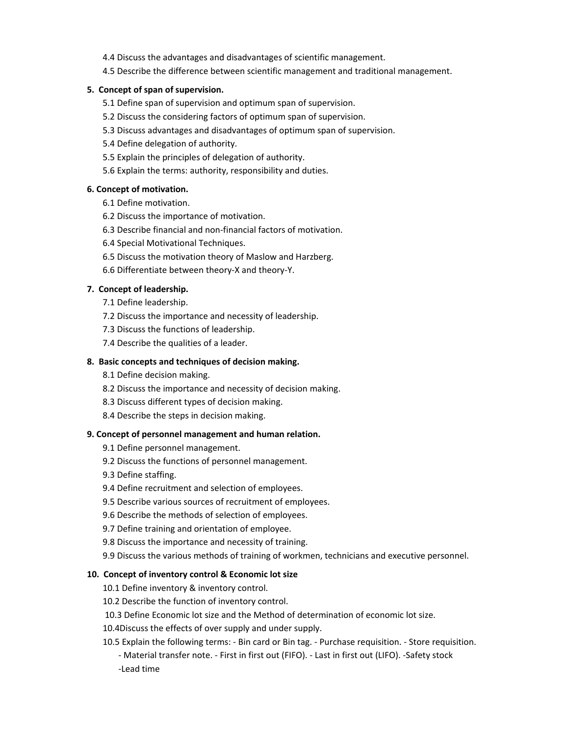- 4.4 Discuss the advantages and disadvantages of scientific management.
- 4.5 Describe the difference between scientific management and traditional management.

#### **5. Concept of span of supervision.**

- 5.1 Define span of supervision and optimum span of supervision.
- 5.2 Discuss the considering factors of optimum span of supervision.
- 5.3 Discuss advantages and disadvantages of optimum span of supervision.
- 5.4 Define delegation of authority.
- 5.5 Explain the principles of delegation of authority.
- 5.6 Explain the terms: authority, responsibility and duties.

#### **6. Concept of motivation.**

- 6.1 Define motivation.
- 6.2 Discuss the importance of motivation.
- 6.3 Describe financial and non‐financial factors of motivation.
- 6.4 Special Motivational Techniques.
- 6.5 Discuss the motivation theory of Maslow and Harzberg.
- 6.6 Differentiate between theory‐X and theory‐Y.

#### **7. Concept of leadership.**

- 7.1 Define leadership.
- 7.2 Discuss the importance and necessity of leadership.
- 7.3 Discuss the functions of leadership.
- 7.4 Describe the qualities of a leader.

#### **8. Basic concepts and techniques of decision making.**

- 8.1 Define decision making.
- 8.2 Discuss the importance and necessity of decision making.
- 8.3 Discuss different types of decision making.
- 8.4 Describe the steps in decision making.

#### **9. Concept of personnel management and human relation.**

9.1 Define personnel management.

- 9.2 Discuss the functions of personnel management.
- 9.3 Define staffing.
- 9.4 Define recruitment and selection of employees.
- 9.5 Describe various sources of recruitment of employees.
- 9.6 Describe the methods of selection of employees.
- 9.7 Define training and orientation of employee.
- 9.8 Discuss the importance and necessity of training.
- 9.9 Discuss the various methods of training of workmen, technicians and executive personnel.

#### **10. Concept of inventory control & Economic lot size**

- 10.1 Define inventory & inventory control.
- 10.2 Describe the function of inventory control.
- 10.3 Define Economic lot size and the Method of determination of economic lot size.
- 10.4Discuss the effects of over supply and under supply.
- 10.5 Explain the following terms: ‐ Bin card or Bin tag. ‐ Purchase requisition. ‐ Store requisition. ‐ Material transfer note. ‐ First in first out (FIFO). ‐ Last in first out (LIFO). ‐Safety stock ‐Lead time